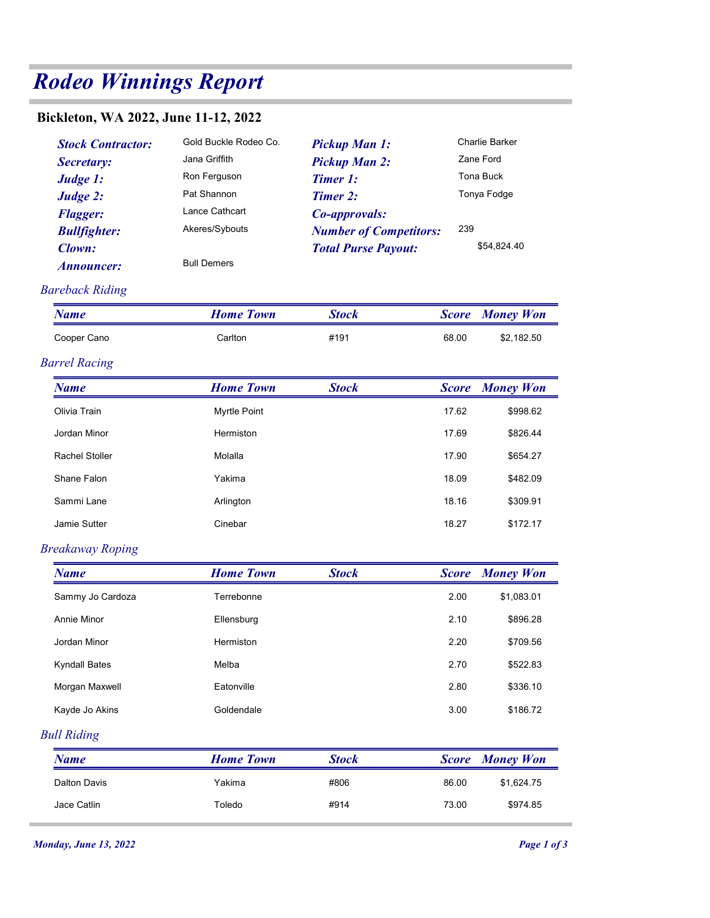## Rodeo Winnings Report

## Bickleton, WA 2022, June 11-12, 2022

| odeo Winnings Report                                                                                                                           |                                                                                                                                 |                                                                                                                                                                    |              |                                                                        |  |  |  |  |
|------------------------------------------------------------------------------------------------------------------------------------------------|---------------------------------------------------------------------------------------------------------------------------------|--------------------------------------------------------------------------------------------------------------------------------------------------------------------|--------------|------------------------------------------------------------------------|--|--|--|--|
| ckleton, WA 2022, June 11-12, 2022                                                                                                             |                                                                                                                                 |                                                                                                                                                                    |              |                                                                        |  |  |  |  |
| <b>Stock Contractor:</b><br>Secretary:<br>Judge 1:<br>Judge 2:<br><b>Flagger:</b><br><b>Bullfighter:</b><br>Clown:<br><i><b>Announcer:</b></i> | Gold Buckle Rodeo Co.<br>Jana Griffith<br>Ron Ferguson<br>Pat Shannon<br>Lance Cathcart<br>Akeres/Sybouts<br><b>Bull Demers</b> | <b>Pickup Man 1:</b><br><b>Pickup Man 2:</b><br><b>Timer 1:</b><br><b>Timer 2:</b><br>Co-approvals:<br><b>Number of Competitors:</b><br><b>Total Purse Payout:</b> | 239          | Charlie Barker<br>Zane Ford<br>Tona Buck<br>Tonya Fodge<br>\$54,824.40 |  |  |  |  |
| areback Riding<br><b>Name</b>                                                                                                                  | <b>Home Town</b>                                                                                                                | <b>Stock</b>                                                                                                                                                       | <b>Score</b> | <b>Money Won</b>                                                       |  |  |  |  |
| Cooper Cano                                                                                                                                    | Carlton                                                                                                                         | #191                                                                                                                                                               | 68.00        | \$2,182.50                                                             |  |  |  |  |
| arrel Racing                                                                                                                                   |                                                                                                                                 |                                                                                                                                                                    |              |                                                                        |  |  |  |  |
| <b>Name</b>                                                                                                                                    | <b>Home Town</b>                                                                                                                | <b>Stock</b>                                                                                                                                                       | <b>Score</b> | <b>Money Won</b>                                                       |  |  |  |  |
| Olivia Train                                                                                                                                   | Myrtle Point                                                                                                                    |                                                                                                                                                                    | 17.62        | \$99862                                                                |  |  |  |  |

| Bickleton, WA 2022, June 11-12, 2022                                                                                             |                                                                                                                                 |                                                                                                                                                                    |              |                                                                        |
|----------------------------------------------------------------------------------------------------------------------------------|---------------------------------------------------------------------------------------------------------------------------------|--------------------------------------------------------------------------------------------------------------------------------------------------------------------|--------------|------------------------------------------------------------------------|
| <b>Stock Contractor:</b><br>Secretary:<br>Judge 1:<br>Judge 2:<br><b>Flagger:</b><br><b>Bullfighter:</b><br>Clown:<br>Announcer: | Gold Buckle Rodeo Co.<br>Jana Griffith<br>Ron Ferguson<br>Pat Shannon<br>Lance Cathcart<br>Akeres/Sybouts<br><b>Bull Demers</b> | <b>Pickup Man 1:</b><br><b>Pickup Man 2:</b><br><b>Timer 1:</b><br><b>Timer 2:</b><br>Co-approvals:<br><b>Number of Competitors:</b><br><b>Total Purse Payout:</b> | 239          | Charlie Barker<br>Zane Ford<br>Tona Buck<br>Tonya Fodge<br>\$54,824.40 |
| <b>Bareback Riding</b>                                                                                                           |                                                                                                                                 |                                                                                                                                                                    |              |                                                                        |
| <b>Name</b>                                                                                                                      | <b>Home Town</b>                                                                                                                | <b>Stock</b>                                                                                                                                                       | <b>Score</b> | <b>Money Won</b>                                                       |
| Cooper Cano                                                                                                                      | Carlton                                                                                                                         | #191                                                                                                                                                               | 68.00        | \$2,182.50                                                             |
| <b>Barrel Racing</b>                                                                                                             |                                                                                                                                 |                                                                                                                                                                    |              |                                                                        |
| <b>Name</b>                                                                                                                      | <b>Home Town</b>                                                                                                                | <b>Stock</b>                                                                                                                                                       | <b>Score</b> | <b>Money Won</b>                                                       |
| Olivia Train                                                                                                                     | Myrtle Point                                                                                                                    |                                                                                                                                                                    | 17.62        | \$998.62                                                               |
| Jordan Minor                                                                                                                     | Hermiston                                                                                                                       |                                                                                                                                                                    | 17.69        | \$826.44                                                               |
| Rachel Stoller                                                                                                                   | Molalla                                                                                                                         |                                                                                                                                                                    | 17.90        | \$654.27                                                               |
| Shane Falon                                                                                                                      | Yakima                                                                                                                          |                                                                                                                                                                    | 18.09        | \$482.09                                                               |
| Sammi Lane                                                                                                                       | Arlington                                                                                                                       |                                                                                                                                                                    | 18.16        | \$309.91                                                               |
| Jamie Sutter                                                                                                                     | Cinebar                                                                                                                         |                                                                                                                                                                    | 18.27        | \$172.17                                                               |
| <b>Breakaway Roping</b>                                                                                                          |                                                                                                                                 |                                                                                                                                                                    |              |                                                                        |
| <b>Name</b>                                                                                                                      | <b>Home Town</b>                                                                                                                | <b>Stock</b>                                                                                                                                                       | <b>Score</b> | <b>Money Won</b>                                                       |
| Sammy Jo Cardoza                                                                                                                 | Terrebonne                                                                                                                      |                                                                                                                                                                    | 2.00         | \$1,083.01                                                             |
| Annie Minor                                                                                                                      | Ellensburg                                                                                                                      |                                                                                                                                                                    | 2.10         | \$896.28                                                               |
| Jordan Minor                                                                                                                     | Hermiston                                                                                                                       |                                                                                                                                                                    | 2.20         | \$709.56                                                               |
| <b>Kyndall Bates</b>                                                                                                             | Melba                                                                                                                           |                                                                                                                                                                    | 2.70         | \$522.83                                                               |
| Morgan Maxwell                                                                                                                   | Eatonville                                                                                                                      |                                                                                                                                                                    | 2.80         | \$336.10                                                               |
| Kayde Jo Akins                                                                                                                   | Goldendale                                                                                                                      |                                                                                                                                                                    | 3.00         | \$186.72                                                               |
| <b>Bull Riding</b>                                                                                                               |                                                                                                                                 |                                                                                                                                                                    |              |                                                                        |
| <b>Name</b>                                                                                                                      | <b>Home Town</b>                                                                                                                | <b>Stock</b>                                                                                                                                                       | <b>Score</b> | <b>Money Won</b>                                                       |
| <b>Dalton Davis</b>                                                                                                              | Yakima                                                                                                                          | #806                                                                                                                                                               | 86.00        | \$1,624.75                                                             |
| Jace Catlin                                                                                                                      | Toledo                                                                                                                          | #914                                                                                                                                                               | 73.00        | \$974.85                                                               |
| <b>Monday, June 13, 2022</b>                                                                                                     |                                                                                                                                 |                                                                                                                                                                    |              | Page 1 of 3                                                            |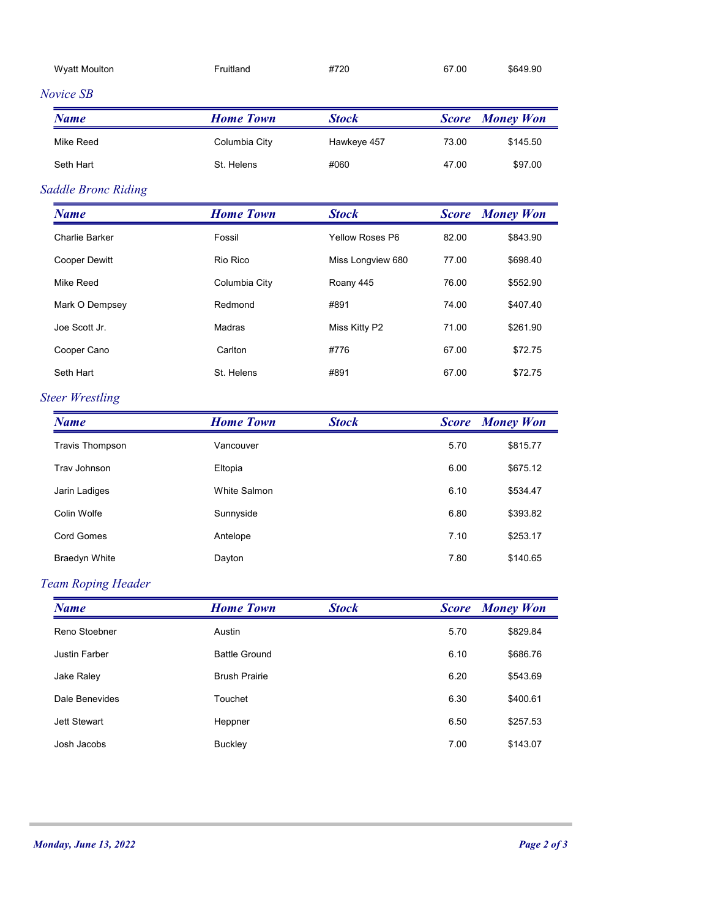| <b>Wyatt Moulton</b>         | Fruitland            | #720              | 67.00        | \$649.90               |
|------------------------------|----------------------|-------------------|--------------|------------------------|
| Novice SB                    |                      |                   |              |                        |
| <b>Name</b>                  | <b>Home Town</b>     | <b>Stock</b>      | <b>Score</b> | <b>Money Won</b>       |
| Mike Reed                    | Columbia City        | Hawkeye 457       | 73.00        | \$145.50               |
| Seth Hart                    | St. Helens           | #060              | 47.00        | \$97.00                |
| <b>Saddle Bronc Riding</b>   |                      |                   |              |                        |
| <b>Name</b>                  | <b>Home Town</b>     | <b>Stock</b>      | <b>Score</b> | <b>Money Won</b>       |
| Charlie Barker               | Fossil               | Yellow Roses P6   | 82.00        | \$843.90               |
| Cooper Dewitt                | Rio Rico             | Miss Longview 680 | 77.00        | \$698.40               |
| Mike Reed                    | Columbia City        | Roany 445         | 76.00        | \$552.90               |
| Mark O Dempsey               | Redmond              | #891              | 74.00        | \$407.40               |
| Joe Scott Jr.                | Madras               | Miss Kitty P2     | 71.00        | \$261.90               |
| Cooper Cano                  | Carlton              | #776              | 67.00        | \$72.75                |
| Seth Hart                    | St. Helens           | #891              | 67.00        | \$72.75                |
| <b>Steer Wrestling</b>       |                      |                   |              |                        |
| <b>Name</b>                  | <b>Home Town</b>     | <b>Stock</b>      |              | <b>Score</b> Money Won |
| <b>Travis Thompson</b>       | Vancouver            |                   | 5.70         | \$815.77               |
| Trav Johnson                 | Eltopia              |                   | 6.00         | \$675.12               |
| Jarin Ladiges                | White Salmon         |                   | 6.10         | \$534.47               |
| Colin Wolfe                  | Sunnyside            |                   | 6.80         | \$393.82               |
| Cord Gomes                   | Antelope             |                   | 7.10         | \$253.17               |
| Braedyn White                | Dayton               |                   | 7.80         | \$140.65               |
| <b>Team Roping Header</b>    |                      |                   |              |                        |
| <b>Name</b>                  | <b>Home Town</b>     | <b>Stock</b>      | <b>Score</b> | <b>Money Won</b>       |
| Reno Stoebner                | Austin               |                   | 5.70         | \$829.84               |
| Justin Farber                | <b>Battle Ground</b> |                   | 6.10         | \$686.76               |
| Jake Raley                   | <b>Brush Prairie</b> |                   | 6.20         | \$543.69               |
| Dale Benevides               | Touchet              |                   | 6.30         | \$400.61               |
| Jett Stewart                 | Heppner              |                   | 6.50         | \$257.53               |
| Josh Jacobs                  | Buckley              |                   | 7.00         | \$143.07               |
|                              |                      |                   |              |                        |
| <b>Monday, June 13, 2022</b> |                      |                   |              | Page 2 of 3            |